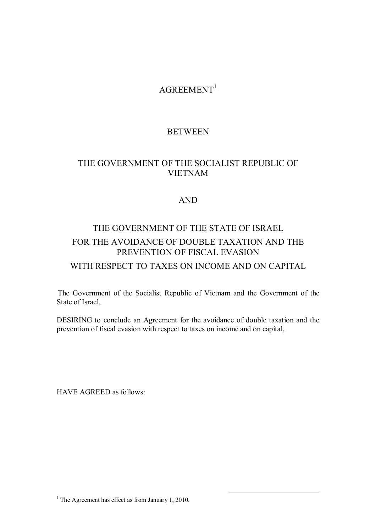# $AGREEMENT<sup>1</sup>$

## **BETWEEN**

## THE GOVERNMENT OF THE SOCIALIST REPUBLIC OF VIETNAM

## AND

# THE GOVERNMENT OF THE STATE OF ISRAEL FOR THE AVOIDANCE OF DOUBLE TAXATION AND THE PREVENTION OF FISCAL EVASION WITH RESPECT TO TAXES ON INCOME AND ON CAPITAL

The Government of the Socialist Republic of Vietnam and the Government of the State of Israel,

DESIRING to conclude an Agreement for the avoidance of double taxation and the prevention of fiscal evasion with respect to taxes on income and on capital,

 $\overline{a}$ 

HAVE AGREED as follows:

<sup>1</sup> The Agreement has effect as from January 1, 2010.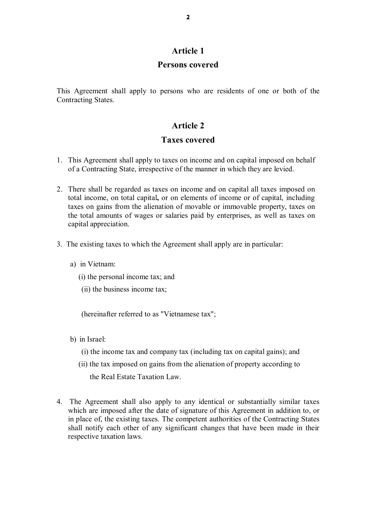#### **Persons covered**

This Agreement shall apply to persons who are residents of one or both of the Contracting States.

## **Article 2**

#### **Taxes covered**

- 1. This Agreement shall apply to taxes on income and on capital imposed on behalf of a Contracting State, irrespective of the manner in which they are levied.
- 2. There shall be regarded as taxes on income and on capital all taxes imposed on total income, on total capital**,** or on elements of income or of capital, including taxes on gains from the alienation of movable or immovable property, taxes on the total amounts of wages or salaries paid by enterprises, as well as taxes on capital appreciation.
- 3. The existing taxes to which the Agreement shall apply are in particular:
	- a) in Vietnam:
		- (i) the personal income tax; and
		- (ii) the business income tax;

(hereinafter referred to as "Vietnamese tax";

- b) in Israel:
	- (i) the income tax and company tax (including tax on capital gains); and
	- (ii) the tax imposed on gains from the alienation of property according to the Real Estate Taxation Law.
- 4. The Agreement shall also apply to any identical or substantially similar taxes which are imposed after the date of signature of this Agreement in addition to, or in place of, the existing taxes. The competent authorities of the Contracting States shall notify each other of any significant changes that have been made in their respective taxation laws.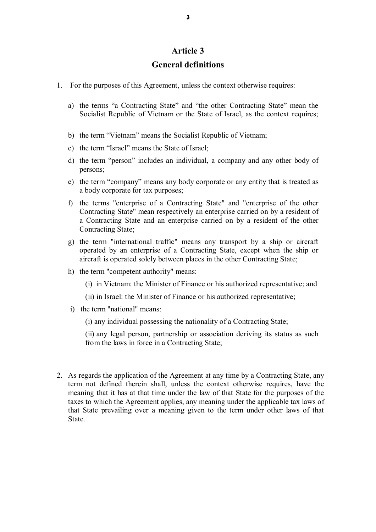#### **General definitions**

- 1. For the purposes of this Agreement, unless the context otherwise requires:
	- a) the terms "a Contracting State" and "the other Contracting State" mean the Socialist Republic of Vietnam or the State of Israel, as the context requires;
	- b) the term "Vietnam" means the Socialist Republic of Vietnam;
	- c) the term "Israel" means the State of Israel;
	- d) the term "person" includes an individual, a company and any other body of persons;
	- e) the term "company" means any body corporate or any entity that is treated as a body corporate for tax purposes;
	- f) the terms "enterprise of a Contracting State" and "enterprise of the other Contracting State" mean respectively an enterprise carried on by a resident of a Contracting State and an enterprise carried on by a resident of the other Contracting State;
	- g) the term "international traffic" means any transport by a ship or aircraft operated by an enterprise of a Contracting State, except when the ship or aircraft is operated solely between places in the other Contracting State;
	- h) the term "competent authority" means:
		- (i) in Vietnam: the Minister of Finance or his authorized representative; and
		- (ii) in Israel: the Minister of Finance or his authorized representative;
	- i) the term "national" means:
		- (i) any individual possessing the nationality of a Contracting State;

 (ii) any legal person, partnership or association deriving its status as such from the laws in force in a Contracting State;

2. As regards the application of the Agreement at any time by a Contracting State, any term not defined therein shall, unless the context otherwise requires, have the meaning that it has at that time under the law of that State for the purposes of the taxes to which the Agreement applies, any meaning under the applicable tax laws of that State prevailing over a meaning given to the term under other laws of that **State**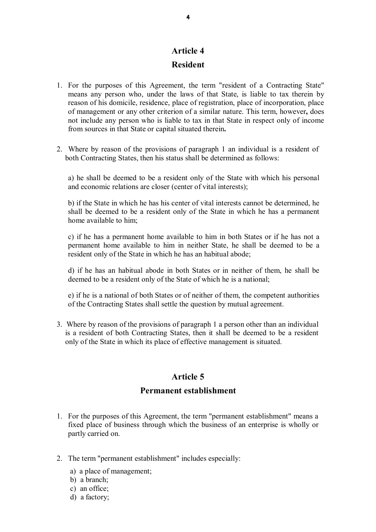## **Article 4 Resident**

- 1. For the purposes of this Agreement, the term "resident of a Contracting State" means any person who, under the laws of that State, is liable to tax therein by reason of his domicile, residence, place of registration, place of incorporation, place of management or any other criterion of a similar nature. This term, however**,** does not include any person who is liable to tax in that State in respect only of income from sources in that State or capital situated therein**.**
- 2. Where by reason of the provisions of paragraph 1 an individual is a resident of both Contracting States, then his status shall be determined as follows:

a) he shall be deemed to be a resident only of the State with which his personal and economic relations are closer (center of vital interests);

b) if the State in which he has his center of vital interests cannot be determined, he shall be deemed to be a resident only of the State in which he has a permanent home available to him.

c) if he has a permanent home available to him in both States or if he has not a permanent home available to him in neither State, he shall be deemed to be a resident only of the State in which he has an habitual abode;

d) if he has an habitual abode in both States or in neither of them, he shall be deemed to be a resident only of the State of which he is a national;

e) if he is a national of both States or of neither of them, the competent authorities of the Contracting States shall settle the question by mutual agreement.

3. Where by reason of the provisions of paragraph 1 a person other than an individual is a resident of both Contracting States, then it shall be deemed to be a resident only of the State in which its place of effective management is situated.

## **Article 5**

#### **Permanent establishment**

- 1. For the purposes of this Agreement, the term "permanent establishment" means a fixed place of business through which the business of an enterprise is wholly or partly carried on.
- 2. The term "permanent establishment" includes especially:
	- a) a place of management;
	- b) a branch;
	- c) an office;
	- d) a factory;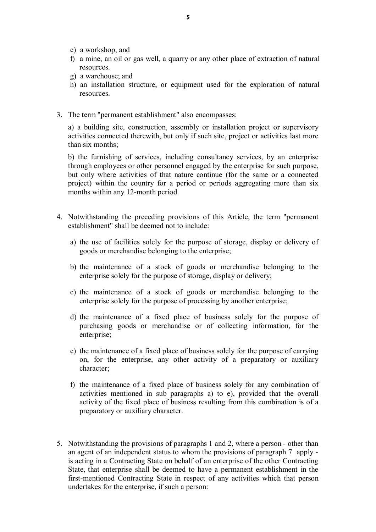- e) a workshop, and
- f) a mine, an oil or gas well, a quarry or any other place of extraction of natural resources.
- g) a warehouse; and
- h) an installation structure, or equipment used for the exploration of natural resources.
- 3. The term "permanent establishment" also encompasses:

a) a building site, construction, assembly or installation project or supervisory activities connected therewith, but only if such site, project or activities last more than six months;

b) the furnishing of services, including consultancy services, by an enterprise through employees or other personnel engaged by the enterprise for such purpose, but only where activities of that nature continue (for the same or a connected project) within the country for a period or periods aggregating more than six months within any 12-month period.

- 4. Notwithstanding the preceding provisions of this Article, the term "permanent establishment" shall be deemed not to include:
	- a) the use of facilities solely for the purpose of storage, display or delivery of goods or merchandise belonging to the enterprise;
	- b) the maintenance of a stock of goods or merchandise belonging to the enterprise solely for the purpose of storage, display or delivery;
	- c) the maintenance of a stock of goods or merchandise belonging to the enterprise solely for the purpose of processing by another enterprise;
	- d) the maintenance of a fixed place of business solely for the purpose of purchasing goods or merchandise or of collecting information, for the enterprise;
	- e) the maintenance of a fixed place of business solely for the purpose of carrying on, for the enterprise, any other activity of a preparatory or auxiliary character;
	- f) the maintenance of a fixed place of business solely for any combination of activities mentioned in sub paragraphs a) to e), provided that the overall activity of the fixed place of business resulting from this combination is of a preparatory or auxiliary character.
- 5. Notwithstanding the provisions of paragraphs 1 and 2, where a person other than an agent of an independent status to whom the provisions of paragraph 7 apply is acting in a Contracting State on behalf of an enterprise of the other Contracting State, that enterprise shall be deemed to have a permanent establishment in the first-mentioned Contracting State in respect of any activities which that person undertakes for the enterprise, if such a person: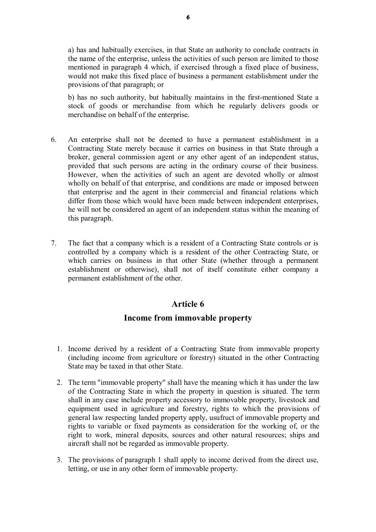a) has and habitually exercises, in that State an authority to conclude contracts in the name of the enterprise, unless the activities of such person are limited to those mentioned in paragraph 4 which, if exercised through a fixed place of business, would not make this fixed place of business a permanent establishment under the provisions of that paragraph; or

b) has no such authority, but habitually maintains in the first-mentioned State a stock of goods or merchandise from which he regularly delivers goods or merchandise on behalf of the enterprise.

- 6. An enterprise shall not be deemed to have a permanent establishment in a Contracting State merely because it carries on business in that State through a broker, general commission agent or any other agent of an independent status, provided that such persons are acting in the ordinary course of their business. However, when the activities of such an agent are devoted wholly or almost wholly on behalf of that enterprise, and conditions are made or imposed between that enterprise and the agent in their commercial and financial relations which differ from those which would have been made between independent enterprises, he will not be considered an agent of an independent status within the meaning of this paragraph.
- 7. The fact that a company which is a resident of a Contracting State controls or is controlled by a company which is a resident of the other Contracting State, or which carries on business in that other State (whether through a permanent establishment or otherwise), shall not of itself constitute either company a permanent establishment of the other.

#### **Article 6**

#### **Income from immovable property**

- 1. Income derived by a resident of a Contracting State from immovable property (including income from agriculture or forestry) situated in the other Contracting State may be taxed in that other State.
- 2. The term "immovable property" shall have the meaning which it has under the law of the Contracting State in which the property in question is situated. The term shall in any case include property accessory to immovable property, livestock and equipment used in agriculture and forestry, rights to which the provisions of general law respecting landed property apply, usufruct of immovable property and rights to variable or fixed payments as consideration for the working of, or the right to work, mineral deposits, sources and other natural resources; ships and aircraft shall not be regarded as immovable property.
- 3. The provisions of paragraph 1 shall apply to income derived from the direct use, letting, or use in any other form of immovable property.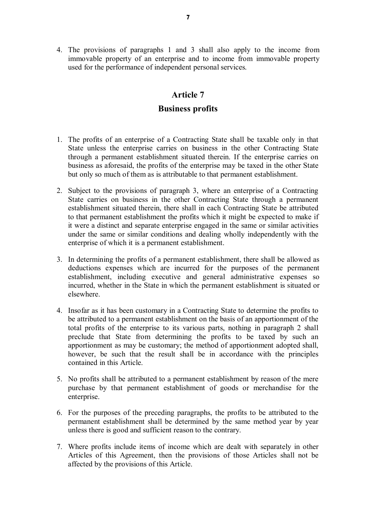4. The provisions of paragraphs 1 and 3 shall also apply to the income from immovable property of an enterprise and to income from immovable property used for the performance of independent personal services.

## **Article 7**

## **Business profits**

- 1. The profits of an enterprise of a Contracting State shall be taxable only in that State unless the enterprise carries on business in the other Contracting State through a permanent establishment situated therein. If the enterprise carries on business as aforesaid, the profits of the enterprise may be taxed in the other State but only so much of them as is attributable to that permanent establishment.
- 2. Subject to the provisions of paragraph 3, where an enterprise of a Contracting State carries on business in the other Contracting State through a permanent establishment situated therein, there shall in each Contracting State be attributed to that permanent establishment the profits which it might be expected to make if it were a distinct and separate enterprise engaged in the same or similar activities under the same or similar conditions and dealing wholly independently with the enterprise of which it is a permanent establishment.
- 3. In determining the profits of a permanent establishment, there shall be allowed as deductions expenses which are incurred for the purposes of the permanent establishment, including executive and general administrative expenses so incurred, whether in the State in which the permanent establishment is situated or elsewhere.
- 4. Insofar as it has been customary in a Contracting State to determine the profits to be attributed to a permanent establishment on the basis of an apportionment of the total profits of the enterprise to its various parts, nothing in paragraph 2 shall preclude that State from determining the profits to be taxed by such an apportionment as may be customary; the method of apportionment adopted shall, however, be such that the result shall be in accordance with the principles contained in this Article.
- 5. No profits shall be attributed to a permanent establishment by reason of the mere purchase by that permanent establishment of goods or merchandise for the enterprise.
- 6. For the purposes of the preceding paragraphs, the profits to be attributed to the permanent establishment shall be determined by the same method year by year unless there is good and sufficient reason to the contrary.
- 7. Where profits include items of income which are dealt with separately in other Articles of this Agreement, then the provisions of those Articles shall not be affected by the provisions of this Article.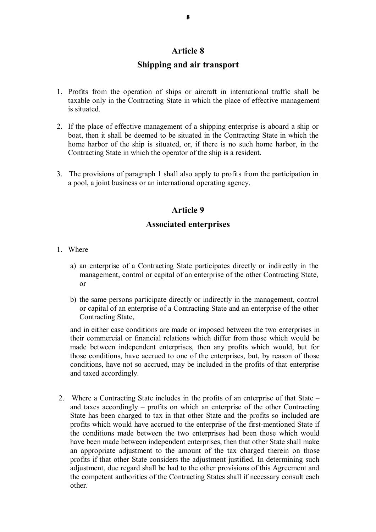## **Shipping and air transport**

- 1. Profits from the operation of ships or aircraft in international traffic shall be taxable only in the Contracting State in which the place of effective management is situated.
- 2. If the place of effective management of a shipping enterprise is aboard a ship or boat, then it shall be deemed to be situated in the Contracting State in which the home harbor of the ship is situated, or, if there is no such home harbor, in the Contracting State in which the operator of the ship is a resident.
- 3. The provisions of paragraph 1 shall also apply to profits from the participation in a pool, a joint business or an international operating agency.

## **Article 9**

#### **Associated enterprises**

- 1. Where
	- a) an enterprise of a Contracting State participates directly or indirectly in the management, control or capital of an enterprise of the other Contracting State, or
	- b) the same persons participate directly or indirectly in the management, control or capital of an enterprise of a Contracting State and an enterprise of the other Contracting State,

and in either case conditions are made or imposed between the two enterprises in their commercial or financial relations which differ from those which would be made between independent enterprises, then any profits which would, but for those conditions, have accrued to one of the enterprises, but, by reason of those conditions, have not so accrued, may be included in the profits of that enterprise and taxed accordingly.

2. Where a Contracting State includes in the profits of an enterprise of that State – and taxes accordingly – profits on which an enterprise of the other Contracting State has been charged to tax in that other State and the profits so included are profits which would have accrued to the enterprise of the first-mentioned State if the conditions made between the two enterprises had been those which would have been made between independent enterprises, then that other State shall make an appropriate adjustment to the amount of the tax charged therein on those profits if that other State considers the adjustment justified. In determining such adjustment, due regard shall be had to the other provisions of this Agreement and the competent authorities of the Contracting States shall if necessary consult each other.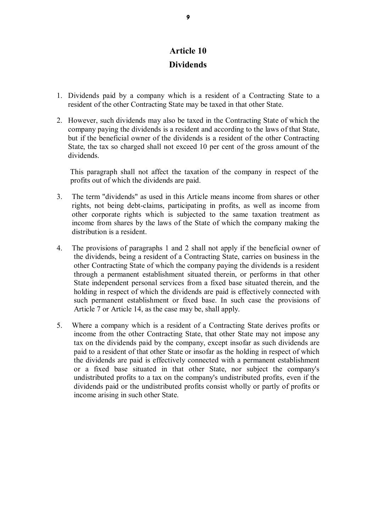# **Article 10 Dividends**

- 1. Dividends paid by a company which is a resident of a Contracting State to a resident of the other Contracting State may be taxed in that other State.
- 2. However, such dividends may also be taxed in the Contracting State of which the company paying the dividends is a resident and according to the laws of that State, but if the beneficial owner of the dividends is a resident of the other Contracting State, the tax so charged shall not exceed 10 per cent of the gross amount of the dividends.

This paragraph shall not affect the taxation of the company in respect of the profits out of which the dividends are paid.

- 3. The term "dividends" as used in this Article means income from shares or other rights, not being debt-claims, participating in profits, as well as income from other corporate rights which is subjected to the same taxation treatment as income from shares by the laws of the State of which the company making the distribution is a resident.
- 4. The provisions of paragraphs 1 and 2 shall not apply if the beneficial owner of the dividends, being a resident of a Contracting State, carries on business in the other Contracting State of which the company paying the dividends is a resident through a permanent establishment situated therein, or performs in that other State independent personal services from a fixed base situated therein, and the holding in respect of which the dividends are paid is effectively connected with such permanent establishment or fixed base. In such case the provisions of Article 7 or Article 14, as the case may be, shall apply.
- 5. Where a company which is a resident of a Contracting State derives profits or income from the other Contracting State, that other State may not impose any tax on the dividends paid by the company, except insofar as such dividends are paid to a resident of that other State or insofar as the holding in respect of which the dividends are paid is effectively connected with a permanent establishment or a fixed base situated in that other State, nor subject the company's undistributed profits to a tax on the company's undistributed profits, even if the dividends paid or the undistributed profits consist wholly or partly of profits or income arising in such other State.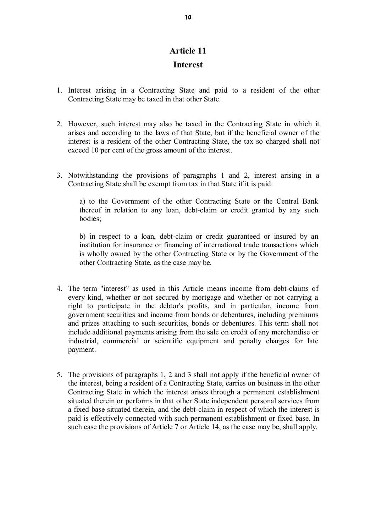# **Article 11 Interest**

- 1. Interest arising in a Contracting State and paid to a resident of the other Contracting State may be taxed in that other State.
- 2. However, such interest may also be taxed in the Contracting State in which it arises and according to the laws of that State, but if the beneficial owner of the interest is a resident of the other Contracting State, the tax so charged shall not exceed 10 per cent of the gross amount of the interest.
- 3. Notwithstanding the provisions of paragraphs 1 and 2, interest arising in a Contracting State shall be exempt from tax in that State if it is paid:

a) to the Government of the other Contracting State or the Central Bank thereof in relation to any loan, debt-claim or credit granted by any such bodies;

b) in respect to a loan, debt-claim or credit guaranteed or insured by an institution for insurance or financing of international trade transactions which is wholly owned by the other Contracting State or by the Government of the other Contracting State, as the case may be.

- 4. The term "interest" as used in this Article means income from debt-claims of every kind, whether or not secured by mortgage and whether or not carrying a right to participate in the debtor's profits, and in particular, income from government securities and income from bonds or debentures, including premiums and prizes attaching to such securities, bonds or debentures. This term shall not include additional payments arising from the sale on credit of any merchandise or industrial, commercial or scientific equipment and penalty charges for late payment.
- 5. The provisions of paragraphs 1, 2 and 3 shall not apply if the beneficial owner of the interest, being a resident of a Contracting State, carries on business in the other Contracting State in which the interest arises through a permanent establishment situated therein or performs in that other State independent personal services from a fixed base situated therein, and the debt-claim in respect of which the interest is paid is effectively connected with such permanent establishment or fixed base. In such case the provisions of Article 7 or Article 14, as the case may be, shall apply.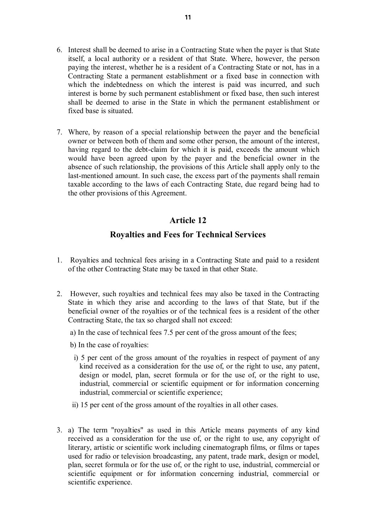- 6. Interest shall be deemed to arise in a Contracting State when the payer is that State itself, a local authority or a resident of that State. Where, however, the person paying the interest, whether he is a resident of a Contracting State or not, has in a Contracting State a permanent establishment or a fixed base in connection with which the indebtedness on which the interest is paid was incurred, and such interest is borne by such permanent establishment or fixed base, then such interest shall be deemed to arise in the State in which the permanent establishment or fixed base is situated.
- 7. Where, by reason of a special relationship between the payer and the beneficial owner or between both of them and some other person, the amount of the interest, having regard to the debt-claim for which it is paid, exceeds the amount which would have been agreed upon by the payer and the beneficial owner in the absence of such relationship, the provisions of this Article shall apply only to the last-mentioned amount. In such case, the excess part of the payments shall remain taxable according to the laws of each Contracting State, due regard being had to the other provisions of this Agreement.

## **Royalties and Fees for Technical Services**

- 1. Royalties and technical fees arising in a Contracting State and paid to a resident of the other Contracting State may be taxed in that other State.
- 2. However, such royalties and technical fees may also be taxed in the Contracting State in which they arise and according to the laws of that State, but if the beneficial owner of the royalties or of the technical fees is a resident of the other Contracting State, the tax so charged shall not exceed:
	- a) In the case of technical fees 7.5 per cent of the gross amount of the fees;
	- b) In the case of royalties:
	- i) 5 per cent of the gross amount of the royalties in respect of payment of any kind received as a consideration for the use of, or the right to use, any patent, design or model, plan, secret formula or for the use of, or the right to use, industrial, commercial or scientific equipment or for information concerning industrial, commercial or scientific experience;
	- ii) 15 per cent of the gross amount of the royalties in all other cases.
- 3. a) The term "royalties" as used in this Article means payments of any kind received as a consideration for the use of, or the right to use, any copyright of literary, artistic or scientific work including cinematograph films, or films or tapes used for radio or television broadcasting, any patent, trade mark, design or model, plan, secret formula or for the use of, or the right to use, industrial, commercial or scientific equipment or for information concerning industrial, commercial or scientific experience.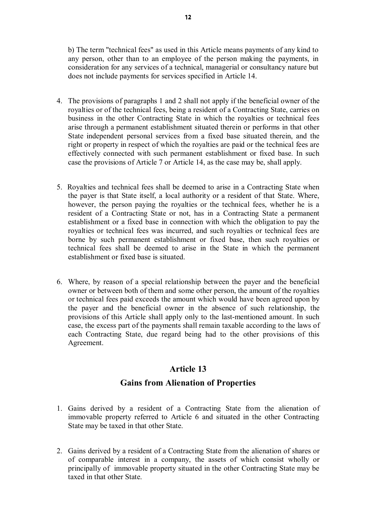b) The term "technical fees" as used in this Article means payments of any kind to any person, other than to an employee of the person making the payments, in consideration for any services of a technical, managerial or consultancy nature but does not include payments for services specified in Article 14.

- 4. The provisions of paragraphs 1 and 2 shall not apply if the beneficial owner of the royalties or of the technical fees, being a resident of a Contracting State, carries on business in the other Contracting State in which the royalties or technical fees arise through a permanent establishment situated therein or performs in that other State independent personal services from a fixed base situated therein, and the right or property in respect of which the royalties are paid or the technical fees are effectively connected with such permanent establishment or fixed base. In such case the provisions of Article 7 or Article 14, as the case may be, shall apply.
- 5. Royalties and technical fees shall be deemed to arise in a Contracting State when the payer is that State itself, a local authority or a resident of that State. Where, however, the person paying the royalties or the technical fees, whether he is a resident of a Contracting State or not, has in a Contracting State a permanent establishment or a fixed base in connection with which the obligation to pay the royalties or technical fees was incurred, and such royalties or technical fees are borne by such permanent establishment or fixed base, then such royalties or technical fees shall be deemed to arise in the State in which the permanent establishment or fixed base is situated.
- 6. Where, by reason of a special relationship between the payer and the beneficial owner or between both of them and some other person, the amount of the royalties or technical fees paid exceeds the amount which would have been agreed upon by the payer and the beneficial owner in the absence of such relationship, the provisions of this Article shall apply only to the last-mentioned amount. In such case, the excess part of the payments shall remain taxable according to the laws of each Contracting State, due regard being had to the other provisions of this Agreement.

## **Article 13**

## **Gains from Alienation of Properties**

- 1. Gains derived by a resident of a Contracting State from the alienation of immovable property referred to Article 6 and situated in the other Contracting State may be taxed in that other State.
- 2. Gains derived by a resident of a Contracting State from the alienation of shares or of comparable interest in a company, the assets of which consist wholly or principally of immovable property situated in the other Contracting State may be taxed in that other State.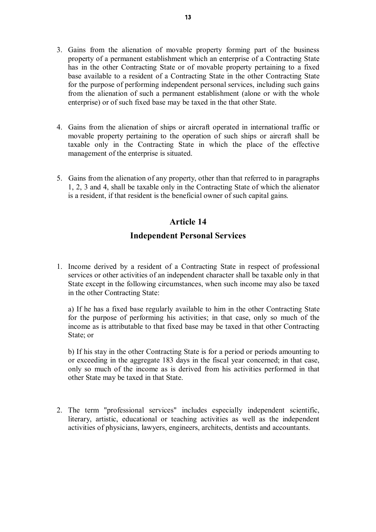- 3. Gains from the alienation of movable property forming part of the business property of a permanent establishment which an enterprise of a Contracting State has in the other Contracting State or of movable property pertaining to a fixed base available to a resident of a Contracting State in the other Contracting State for the purpose of performing independent personal services, including such gains from the alienation of such a permanent establishment (alone or with the whole enterprise) or of such fixed base may be taxed in the that other State.
- 4. Gains from the alienation of ships or aircraft operated in international traffic or movable property pertaining to the operation of such ships or aircraft shall be taxable only in the Contracting State in which the place of the effective management of the enterprise is situated.
- 5. Gains from the alienation of any property, other than that referred to in paragraphs 1, 2, 3 and 4, shall be taxable only in the Contracting State of which the alienator is a resident, if that resident is the beneficial owner of such capital gains.

#### **Independent Personal Services**

1. Income derived by a resident of a Contracting State in respect of professional services or other activities of an independent character shall be taxable only in that State except in the following circumstances, when such income may also be taxed in the other Contracting State:

a) If he has a fixed base regularly available to him in the other Contracting State for the purpose of performing his activities; in that case, only so much of the income as is attributable to that fixed base may be taxed in that other Contracting State; or

b) If his stay in the other Contracting State is for a period or periods amounting to or exceeding in the aggregate 183 days in the fiscal year concerned; in that case, only so much of the income as is derived from his activities performed in that other State may be taxed in that State.

2. The term "professional services" includes especially independent scientific, literary, artistic, educational or teaching activities as well as the independent activities of physicians, lawyers, engineers, architects, dentists and accountants.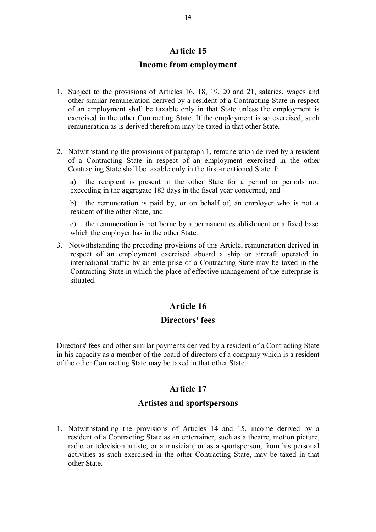#### **Income from employment**

- 1. Subject to the provisions of Articles 16, 18, 19, 20 and 21, salaries, wages and other similar remuneration derived by a resident of a Contracting State in respect of an employment shall be taxable only in that State unless the employment is exercised in the other Contracting State. If the employment is so exercised, such remuneration as is derived therefrom may be taxed in that other State.
- 2. Notwithstanding the provisions of paragraph 1, remuneration derived by a resident of a Contracting State in respect of an employment exercised in the other Contracting State shall be taxable only in the first-mentioned State if:

a) the recipient is present in the other State for a period or periods not exceeding in the aggregate 183 days in the fiscal year concerned, and

b) the remuneration is paid by, or on behalf of, an employer who is not a resident of the other State, and

c) the remuneration is not borne by a permanent establishment or a fixed base which the employer has in the other State.

3. Notwithstanding the preceding provisions of this Article, remuneration derived in respect of an employment exercised aboard a ship or aircraft operated in international traffic by an enterprise of a Contracting State may be taxed in the Contracting State in which the place of effective management of the enterprise is situated.

## **Article 16**

#### **Directors' fees**

Directors' fees and other similar payments derived by a resident of a Contracting State in his capacity as a member of the board of directors of a company which is a resident of the other Contracting State may be taxed in that other State.

## **Article 17**

#### **Artistes and sportspersons**

1. Notwithstanding the provisions of Articles 14 and 15, income derived by a resident of a Contracting State as an entertainer, such as a theatre, motion picture, radio or television artiste, or a musician, or as a sportsperson, from his personal activities as such exercised in the other Contracting State, may be taxed in that other State.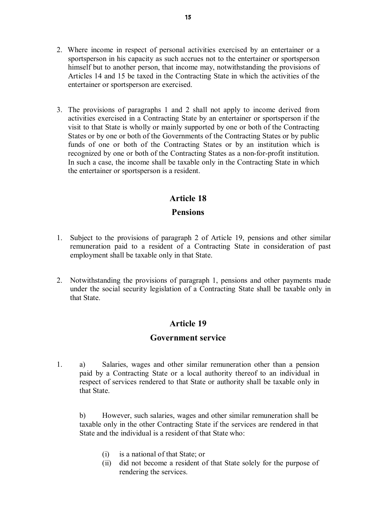- 2. Where income in respect of personal activities exercised by an entertainer or a sportsperson in his capacity as such accrues not to the entertainer or sportsperson himself but to another person, that income may, notwithstanding the provisions of Articles 14 and 15 be taxed in the Contracting State in which the activities of the entertainer or sportsperson are exercised.
- 3. The provisions of paragraphs 1 and 2 shall not apply to income derived from activities exercised in a Contracting State by an entertainer or sportsperson if the visit to that State is wholly or mainly supported by one or both of the Contracting States or by one or both of the Governments of the Contracting States or by public funds of one or both of the Contracting States or by an institution which is recognized by one or both of the Contracting States as a non-for-profit institution. In such a case, the income shall be taxable only in the Contracting State in which the entertainer or sportsperson is a resident.

## **Pensions**

- 1. Subject to the provisions of paragraph 2 of Article 19, pensions and other similar remuneration paid to a resident of a Contracting State in consideration of past employment shall be taxable only in that State.
- 2. Notwithstanding the provisions of paragraph 1, pensions and other payments made under the social security legislation of a Contracting State shall be taxable only in that State.

## **Article 19**

## **Government service**

1. a) Salaries, wages and other similar remuneration other than a pension paid by a Contracting State or a local authority thereof to an individual in respect of services rendered to that State or authority shall be taxable only in that State.

b) However, such salaries, wages and other similar remuneration shall be taxable only in the other Contracting State if the services are rendered in that State and the individual is a resident of that State who:

- (i) is a national of that State; or
- (ii) did not become a resident of that State solely for the purpose of rendering the services.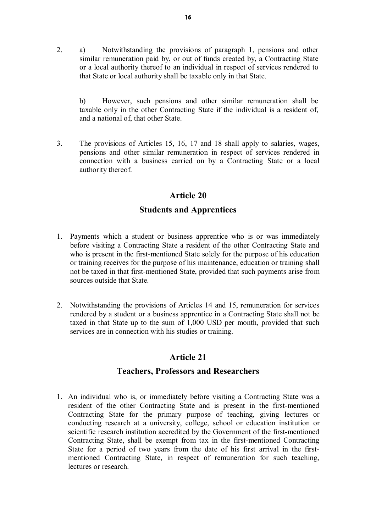2. a) Notwithstanding the provisions of paragraph 1, pensions and other similar remuneration paid by, or out of funds created by, a Contracting State or a local authority thereof to an individual in respect of services rendered to that State or local authority shall be taxable only in that State.

b) However, such pensions and other similar remuneration shall be taxable only in the other Contracting State if the individual is a resident of, and a national of, that other State.

3. The provisions of Articles 15, 16, 17 and 18 shall apply to salaries, wages, pensions and other similar remuneration in respect of services rendered in connection with a business carried on by a Contracting State or a local authority thereof.

## **Article 20**

#### **Students and Apprentices**

- 1. Payments which a student or business apprentice who is or was immediately before visiting a Contracting State a resident of the other Contracting State and who is present in the first-mentioned State solely for the purpose of his education or training receives for the purpose of his maintenance, education or training shall not be taxed in that first-mentioned State, provided that such payments arise from sources outside that State.
- 2. Notwithstanding the provisions of Articles 14 and 15, remuneration for services rendered by a student or a business apprentice in a Contracting State shall not be taxed in that State up to the sum of 1,000 USD per month, provided that such services are in connection with his studies or training.

#### **Article 21**

#### **Teachers, Professors and Researchers**

1. An individual who is, or immediately before visiting a Contracting State was a resident of the other Contracting State and is present in the first-mentioned Contracting State for the primary purpose of teaching, giving lectures or conducting research at a university, college, school or education institution or scientific research institution accredited by the Government of the first-mentioned Contracting State, shall be exempt from tax in the first-mentioned Contracting State for a period of two years from the date of his first arrival in the firstmentioned Contracting State, in respect of remuneration for such teaching, lectures or research.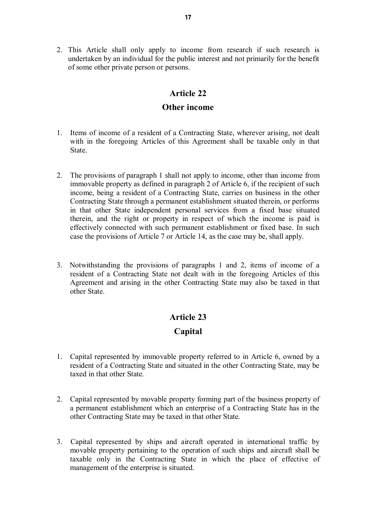2. This Article shall only apply to income from research if such research is undertaken by an individual for the public interest and not primarily for the benefit of some other private person or persons.

## **Article 22**

## **Other income**

- 1. Items of income of a resident of a Contracting State, wherever arising, not dealt with in the foregoing Articles of this Agreement shall be taxable only in that State.
- 2. The provisions of paragraph 1 shall not apply to income, other than income from immovable property as defined in paragraph 2 of Article 6, if the recipient of such income, being a resident of a Contracting State, carries on business in the other Contracting State through a permanent establishment situated therein, or performs in that other State independent personal services from a fixed base situated therein, and the right or property in respect of which the income is paid is effectively connected with such permanent establishment or fixed base. In such case the provisions of Article 7 or Article 14, as the case may be, shall apply.
- 3. Notwithstanding the provisions of paragraphs 1 and 2, items of income of a resident of a Contracting State not dealt with in the foregoing Articles of this Agreement and arising in the other Contracting State may also be taxed in that other State.

## **Article 23**

## **Capital**

- 1. Capital represented by immovable property referred to in Article 6, owned by a resident of a Contracting State and situated in the other Contracting State, may be taxed in that other State.
- 2. Capital represented by movable property forming part of the business property of a permanent establishment which an enterprise of a Contracting State has in the other Contracting State may be taxed in that other State.
- 3. Capital represented by ships and aircraft operated in international traffic by movable property pertaining to the operation of such ships and aircraft shall be taxable only in the Contracting State in which the place of effective of management of the enterprise is situated.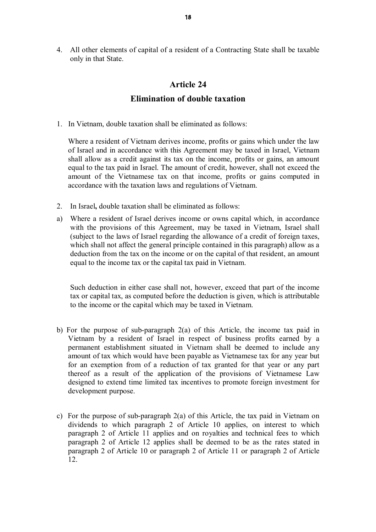4. All other elements of capital of a resident of a Contracting State shall be taxable only in that State.

# **Article 24 Elimination of double taxation**

1. In Vietnam, double taxation shall be eliminated as follows:

Where a resident of Vietnam derives income, profits or gains which under the law of Israel and in accordance with this Agreement may be taxed in Israel, Vietnam shall allow as a credit against its tax on the income, profits or gains, an amount equal to the tax paid in Israel. The amount of credit, however, shall not exceed the amount of the Vietnamese tax on that income, profits or gains computed in accordance with the taxation laws and regulations of Vietnam.

- 2. In Israel**,** double taxation shall be eliminated as follows:
- a) Where a resident of Israel derives income or owns capital which, in accordance with the provisions of this Agreement, may be taxed in Vietnam, Israel shall (subject to the laws of Israel regarding the allowance of a credit of foreign taxes, which shall not affect the general principle contained in this paragraph) allow as a deduction from the tax on the income or on the capital of that resident, an amount equal to the income tax or the capital tax paid in Vietnam.

Such deduction in either case shall not, however, exceed that part of the income tax or capital tax, as computed before the deduction is given, which is attributable to the income or the capital which may be taxed in Vietnam.

- b) For the purpose of sub-paragraph 2(a) of this Article, the income tax paid in Vietnam by a resident of Israel in respect of business profits earned by a permanent establishment situated in Vietnam shall be deemed to include any amount of tax which would have been payable as Vietnamese tax for any year but for an exemption from of a reduction of tax granted for that year or any part thereof as a result of the application of the provisions of Vietnamese Law designed to extend time limited tax incentives to promote foreign investment for development purpose.
- c) For the purpose of sub-paragraph 2(a) of this Article, the tax paid in Vietnam on dividends to which paragraph 2 of Article 10 applies, on interest to which paragraph 2 of Article 11 applies and on royalties and technical fees to which paragraph 2 of Article 12 applies shall be deemed to be as the rates stated in paragraph 2 of Article 10 or paragraph 2 of Article 11 or paragraph 2 of Article 12.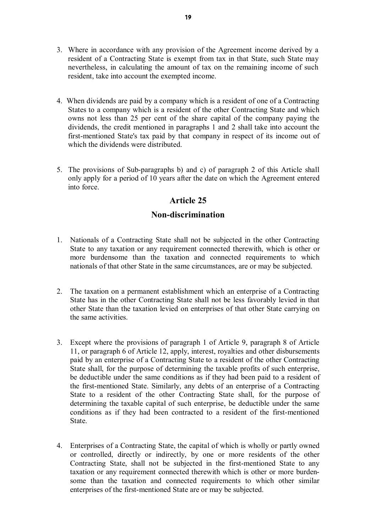- 3. Where in accordance with any provision of the Agreement income derived by a resident of a Contracting State is exempt from tax in that State, such State may nevertheless, in calculating the amount of tax on the remaining income of such resident, take into account the exempted income.
- 4. When dividends are paid by a company which is a resident of one of a Contracting States to a company which is a resident of the other Contracting State and which owns not less than 25 per cent of the share capital of the company paying the dividends, the credit mentioned in paragraphs 1 and 2 shall take into account the first-mentioned State's tax paid by that company in respect of its income out of which the dividends were distributed.
- 5. The provisions of Sub-paragraphs b) and c) of paragraph 2 of this Article shall only apply for a period of 10 years after the date on which the Agreement entered into force.

## **Non-discrimination**

- 1. Nationals of a Contracting State shall not be subjected in the other Contracting State to any taxation or any requirement connected therewith, which is other or more burdensome than the taxation and connected requirements to which nationals of that other State in the same circumstances, are or may be subjected.
- 2. The taxation on a permanent establishment which an enterprise of a Contracting State has in the other Contracting State shall not be less favorably levied in that other State than the taxation levied on enterprises of that other State carrying on the same activities.
- 3. Except where the provisions of paragraph 1 of Article 9, paragraph 8 of Article 11, or paragraph 6 of Article 12, apply, interest, royalties and other disbursements paid by an enterprise of a Contracting State to a resident of the other Contracting State shall, for the purpose of determining the taxable profits of such enterprise, be deductible under the same conditions as if they had been paid to a resident of the first-mentioned State. Similarly, any debts of an enterprise of a Contracting State to a resident of the other Contracting State shall, for the purpose of determining the taxable capital of such enterprise, be deductible under the same conditions as if they had been contracted to a resident of the first-mentioned State.
- 4. Enterprises of a Contracting State, the capital of which is wholly or partly owned or controlled, directly or indirectly, by one or more residents of the other Contracting State, shall not be subjected in the first-mentioned State to any taxation or any requirement connected therewith which is other or more burdensome than the taxation and connected requirements to which other similar enterprises of the first-mentioned State are or may be subjected.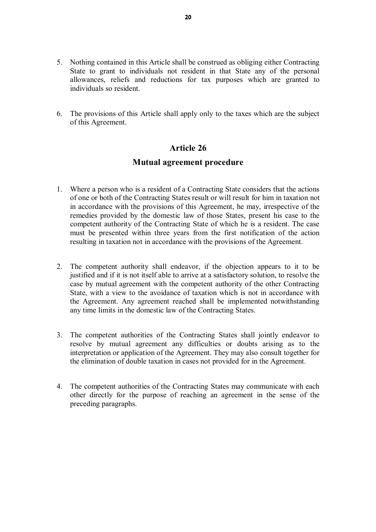- 5. Nothing contained in this Article shall be construed as obliging either Contracting State to grant to individuals not resident in that State any of the personal allowances, reliefs and reductions for tax purposes which are granted to individuals so resident.
- 6. The provisions of this Article shall apply only to the taxes which are the subject of this Agreement.

## **Mutual agreement procedure**

- 1. Where a person who is a resident of a Contracting State considers that the actions of one or both of the Contracting States result or will result for him in taxation not in accordance with the provisions of this Agreement, he may, irrespective of the remedies provided by the domestic law of those States, present his case to the competent authority of the Contracting State of which he is a resident. The case must be presented within three years from the first notification of the action resulting in taxation not in accordance with the provisions of the Agreement.
- 2. The competent authority shall endeavor, if the objection appears to it to be justified and if it is not itself able to arrive at a satisfactory solution, to resolve the case by mutual agreement with the competent authority of the other Contracting State, with a view to the avoidance of taxation which is not in accordance with the Agreement. Any agreement reached shall be implemented notwithstanding any time limits in the domestic law of the Contracting States.
- 3. The competent authorities of the Contracting States shall jointly endeavor to resolve by mutual agreement any difficulties or doubts arising as to the interpretation or application of the Agreement. They may also consult together for the elimination of double taxation in cases not provided for in the Agreement.
- 4. The competent authorities of the Contracting States may communicate with each other directly for the purpose of reaching an agreement in the sense of the preceding paragraphs.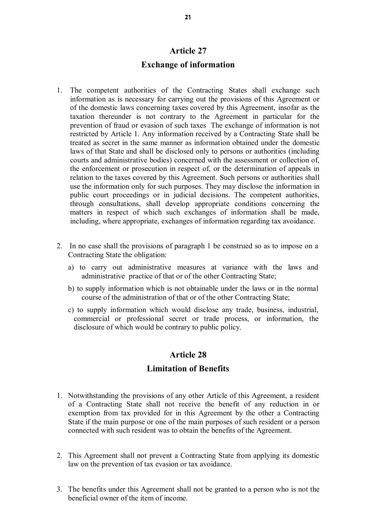#### **Exchange of information**

- 1. The competent authorities of the Contracting States shall exchange such information as is necessary for carrying out the provisions of this Agreement or of the domestic laws concerning taxes covered by this Agreement, insofar as the taxation thereunder is not contrary to the Agreement in particular for the prevention of fraud or evasion of such taxes The exchange of information is not restricted by Article 1. Any information received by a Contracting State shall be treated as secret in the same manner as information obtained under the domestic laws of that State and shall be disclosed only to persons or authorities (including courts and administrative bodies) concerned with the assessment or collection of, the enforcement or prosecution in respect of, or the determination of appeals in relation to the taxes covered by this Agreement. Such persons or authorities shall use the information only for such purposes. They may disclose the information in public court proceedings or in judicial decisions. The competent authorities, through consultations, shall develop appropriate conditions concerning the matters in respect of which such exchanges of information shall be made, including, where appropriate, exchanges of information regarding tax avoidance.
- 2. In no case shall the provisions of paragraph 1 be construed so as to impose on a Contracting State the obligation:
	- a) to carry out administrative measures at variance with the laws and administrative practice of that or of the other Contracting State;
	- b) to supply information which is not obtainable under the laws or in the normal course of the administration of that or of the other Contracting State;
	- c) to supply information which would disclose any trade, business, industrial, commercial or professional secret or trade process, or information, the disclosure of which would be contrary to public policy.

#### **Article 28**

#### **Limitation of Benefits**

- 1. Notwithstanding the provisions of any other Article of this Agreement, a resident of a Contracting State shall not receive the benefit of any reduction in or exemption from tax provided for in this Agreement by the other a Contracting State if the main purpose or one of the main purposes of such resident or a person connected with such resident was to obtain the benefits of the Agreement.
- 2. This Agreement shall not prevent a Contracting State from applying its domestic law on the prevention of tax evasion or tax avoidance.
- 3. The benefits under this Agreement shall not be granted to a person who is not the beneficial owner of the item of income.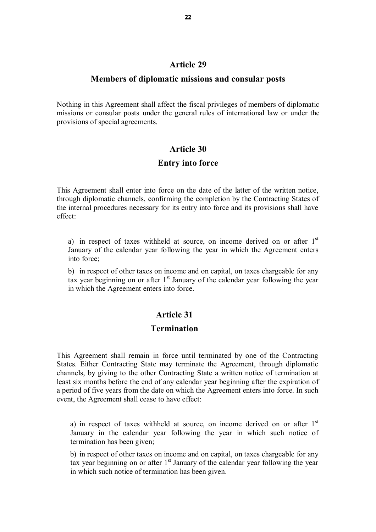#### **Members of diplomatic missions and consular posts**

Nothing in this Agreement shall affect the fiscal privileges of members of diplomatic missions or consular posts under the general rules of international law or under the provisions of special agreements.

## **Article 30**

#### **Entry into force**

This Agreement shall enter into force on the date of the latter of the written notice, through diplomatic channels, confirming the completion by the Contracting States of the internal procedures necessary for its entry into force and its provisions shall have effect:

a) in respect of taxes withheld at source, on income derived on or after  $1<sup>st</sup>$ January of the calendar year following the year in which the Agreement enters into force;

b) in respect of other taxes on income and on capital, on taxes chargeable for any tax year beginning on or after 1<sup>st</sup> January of the calendar year following the year in which the Agreement enters into force.

#### **Article 31**

#### **Termination**

This Agreement shall remain in force until terminated by one of the Contracting States. Either Contracting State may terminate the Agreement, through diplomatic channels, by giving to the other Contracting State a written notice of termination at least six months before the end of any calendar year beginning after the expiration of a period of five years from the date on which the Agreement enters into force. In such event, the Agreement shall cease to have effect:

a) in respect of taxes withheld at source, on income derived on or after  $1<sup>st</sup>$ January in the calendar year following the year in which such notice of termination has been given;

b) in respect of other taxes on income and on capital, on taxes chargeable for any tax year beginning on or after 1<sup>st</sup> January of the calendar year following the year in which such notice of termination has been given.